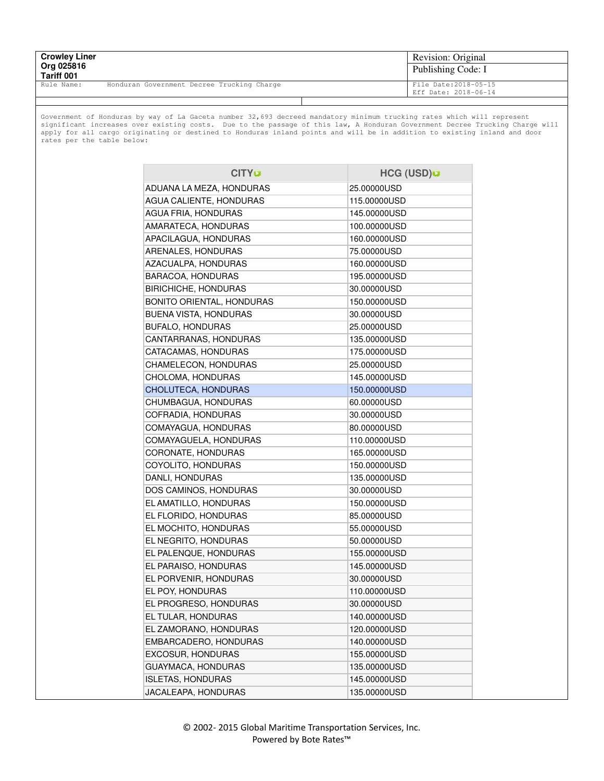| <b>Crowley Liner</b><br>Org 025816<br>Tariff 001 |                                            | Revision: Original<br>Publishing Code: I      |
|--------------------------------------------------|--------------------------------------------|-----------------------------------------------|
| Rule Name:                                       | Honduran Government Decree Trucking Charge | File Date: 2018-05-15<br>Eff Date: 2018-06-14 |
|                                                  |                                            |                                               |

Government of Honduras by way of La Gaceta number 32,693 decreed mandatory minimum trucking rates which will represent<br>significant increases over existing costs. Due to the passage of this law, A Honduran Government Decre rates per the table below:

| <b>CITY®</b>                | HCG (USD)O   |
|-----------------------------|--------------|
| ADUANA LA MEZA, HONDURAS    | 25.00000USD  |
| AGUA CALIENTE, HONDURAS     | 115.00000USD |
| AGUA FRIA, HONDURAS         | 145.00000USD |
| AMARATECA, HONDURAS         | 100.00000USD |
| APACILAGUA, HONDURAS        | 160.00000USD |
| ARENALES, HONDURAS          | 75.00000USD  |
| AZACUALPA, HONDURAS         | 160.00000USD |
| BARACOA, HONDURAS           | 195.00000USD |
| <b>BIRICHICHE, HONDURAS</b> | 30.00000USD  |
| BONITO ORIENTAL, HONDURAS   | 150.00000USD |
| BUENA VISTA, HONDURAS       | 30.00000USD  |
| BUFALO, HONDURAS            | 25.00000USD  |
| CANTARRANAS, HONDURAS       | 135.00000USD |
| CATACAMAS, HONDURAS         | 175.00000USD |
| CHAMELECON, HONDURAS        | 25.00000USD  |
| CHOLOMA, HONDURAS           | 145.00000USD |
| CHOLUTECA, HONDURAS         | 150.00000USD |
| CHUMBAGUA, HONDURAS         | 60.00000USD  |
| COFRADIA, HONDURAS          | 30.00000USD  |
| COMAYAGUA, HONDURAS         | 80.00000USD  |
| COMAYAGUELA, HONDURAS       | 110.00000USD |
| CORONATE, HONDURAS          | 165.00000USD |
| COYOLITO, HONDURAS          | 150.00000USD |
| DANLI, HONDURAS             | 135.00000USD |
| DOS CAMINOS, HONDURAS       | 30.00000USD  |
| EL AMATILLO, HONDURAS       | 150.00000USD |
| EL FLORIDO, HONDURAS        | 85.00000USD  |
| EL MOCHITO, HONDURAS        | 55.00000USD  |
| EL NEGRITO, HONDURAS        | 50.00000USD  |
| EL PALENQUE, HONDURAS       | 155.00000USD |
| EL PARAISO, HONDURAS        | 145.00000USD |
| EL PORVENIR, HONDURAS       | 30.00000USD  |
| EL POY, HONDURAS            | 110.00000USD |
| EL PROGRESO, HONDURAS       | 30.00000USD  |
| EL TULAR, HONDURAS          | 140.00000USD |
| EL ZAMORANO, HONDURAS       | 120.00000USD |
| EMBARCADERO, HONDURAS       | 140.00000USD |
| <b>EXCOSUR, HONDURAS</b>    | 155.00000USD |
| GUAYMACA, HONDURAS          | 135.00000USD |
| <b>ISLETAS, HONDURAS</b>    | 145.00000USD |
| JACALEAPA, HONDURAS         | 135.00000USD |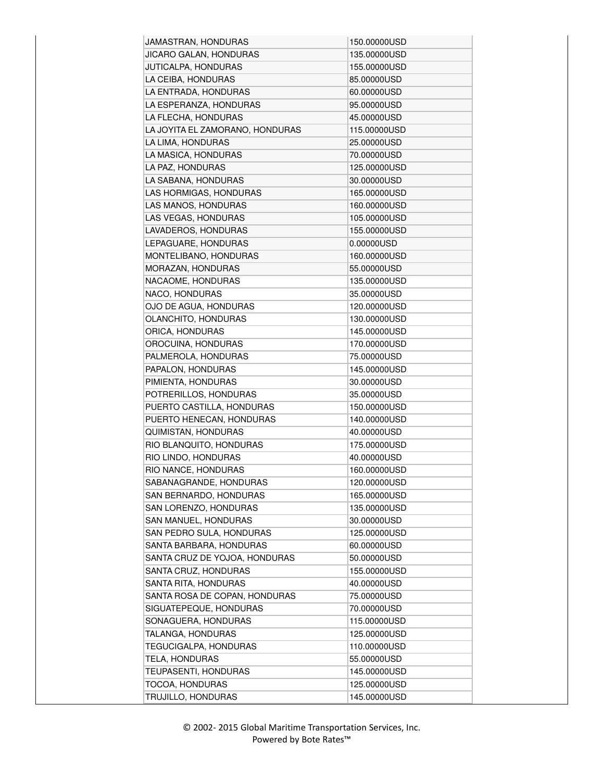| JAMASTRAN, HONDURAS             | 150.00000USD |
|---------------------------------|--------------|
| JICARO GALAN, HONDURAS          | 135.00000USD |
| JUTICALPA, HONDURAS             | 155.00000USD |
| LA CEIBA, HONDURAS              | 85.00000USD  |
| LA ENTRADA, HONDURAS            | 60.00000USD  |
| LA ESPERANZA, HONDURAS          | 95.00000USD  |
| LA FLECHA, HONDURAS             | 45.00000USD  |
| LA JOYITA EL ZAMORANO, HONDURAS | 115.00000USD |
| LA LIMA, HONDURAS               | 25.00000USD  |
| LA MASICA, HONDURAS             | 70.00000USD  |
| LA PAZ, HONDURAS                | 125.00000USD |
| LA SABANA, HONDURAS             | 30.00000USD  |
| LAS HORMIGAS, HONDURAS          | 165.00000USD |
| LAS MANOS, HONDURAS             | 160.00000USD |
| LAS VEGAS, HONDURAS             | 105.00000USD |
| LAVADEROS, HONDURAS             | 155.00000USD |
| LEPAGUARE, HONDURAS             | 0.00000USD   |
| MONTELIBANO, HONDURAS           | 160.00000USD |
| MORAZAN, HONDURAS               | 55.00000USD  |
| NACAOME, HONDURAS               | 135.00000USD |
| NACO, HONDURAS                  | 35.00000USD  |
| OJO DE AGUA, HONDURAS           | 120.00000USD |
| OLANCHITO, HONDURAS             | 130.00000USD |
| ORICA, HONDURAS                 | 145.00000USD |
| OROCUINA, HONDURAS              | 170.00000USD |
| PALMEROLA, HONDURAS             | 75.00000USD  |
| PAPALON, HONDURAS               | 145.00000USD |
| PIMIENTA, HONDURAS              | 30.00000USD  |
| POTRERILLOS, HONDURAS           | 35.00000USD  |
| PUERTO CASTILLA, HONDURAS       | 150.00000USD |
| PUERTO HENECAN, HONDURAS        | 140.00000USD |
| QUIMISTAN, HONDURAS             | 40.00000USD  |
| RIO BLANQUITO, HONDURAS         | 175.00000USD |
| RIO LINDO, HONDURAS             | 40.00000USD  |
| RIO NANCE, HONDURAS             | 160.00000USD |
| SABANAGRANDE, HONDURAS          | 120.00000USD |
| SAN BERNARDO, HONDURAS          | 165.00000USD |
| SAN LORENZO, HONDURAS           | 135.00000USD |
| SAN MANUEL, HONDURAS            | 30.00000USD  |
| SAN PEDRO SULA, HONDURAS        | 125.00000USD |
| SANTA BARBARA, HONDURAS         | 60.00000USD  |
| SANTA CRUZ DE YOJOA, HONDURAS   | 50.00000USD  |
| SANTA CRUZ, HONDURAS            | 155.00000USD |
| SANTA RITA, HONDURAS            | 40.00000USD  |
| SANTA ROSA DE COPAN, HONDURAS   | 75.00000USD  |
| SIGUATEPEQUE, HONDURAS          | 70.00000USD  |
| SONAGUERA, HONDURAS             | 115.00000USD |
| TALANGA, HONDURAS               | 125.00000USD |
| TEGUCIGALPA, HONDURAS           | 110.00000USD |
| TELA, HONDURAS                  | 55.00000USD  |
| TEUPASENTI, HONDURAS            | 145.00000USD |
| TOCOA, HONDURAS                 | 125.00000USD |
| TRUJILLO, HONDURAS              | 145.00000USD |